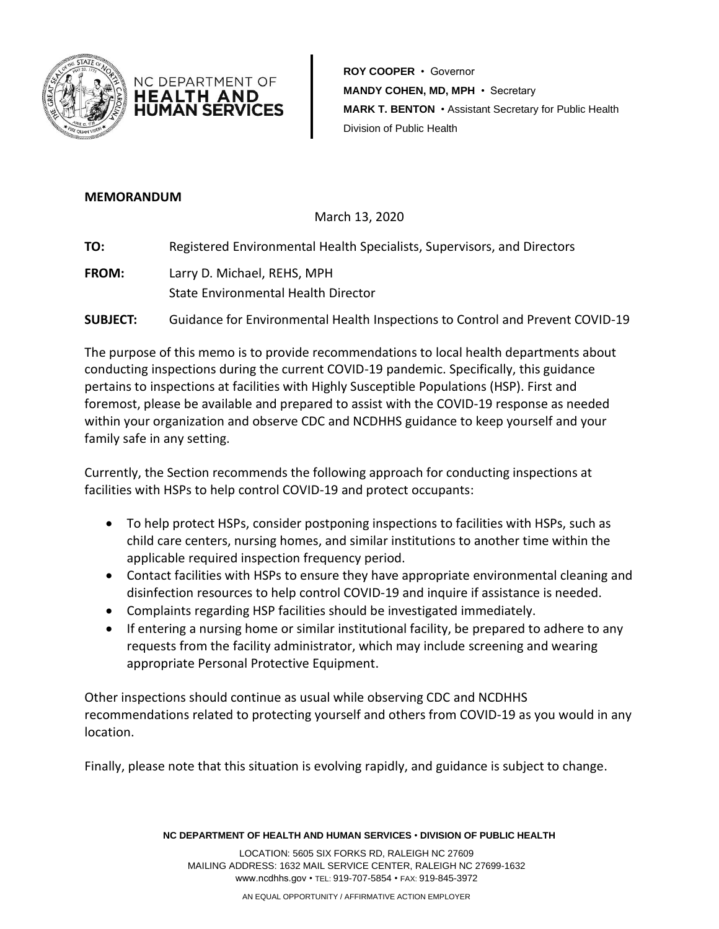

**ROY COOPER** • Governor **MANDY COHEN, MD, MPH** • Secretary **MARK T. BENTON** • Assistant Secretary for Public Health Division of Public Health

## **MEMORANDUM**

March 13, 2020

**TO:** Registered Environmental Health Specialists, Supervisors, and Directors

**FROM:** Larry D. Michael, REHS, MPH State Environmental Health Director

NC DEPARTMENT OF HEALTH AND **HUMAN SERVICES** 

**SUBJECT:** Guidance for Environmental Health Inspections to Control and Prevent COVID-19

The purpose of this memo is to provide recommendations to local health departments about conducting inspections during the current COVID-19 pandemic. Specifically, this guidance pertains to inspections at facilities with Highly Susceptible Populations (HSP). First and foremost, please be available and prepared to assist with the COVID-19 response as needed within your organization and observe CDC and NCDHHS guidance to keep yourself and your family safe in any setting.

Currently, the Section recommends the following approach for conducting inspections at facilities with HSPs to help control COVID-19 and protect occupants:

- To help protect HSPs, consider postponing inspections to facilities with HSPs, such as child care centers, nursing homes, and similar institutions to another time within the applicable required inspection frequency period.
- Contact facilities with HSPs to ensure they have appropriate environmental cleaning and disinfection resources to help control COVID-19 and inquire if assistance is needed.
- Complaints regarding HSP facilities should be investigated immediately.
- If entering a nursing home or similar institutional facility, be prepared to adhere to any requests from the facility administrator, which may include screening and wearing appropriate Personal Protective Equipment.

Other inspections should continue as usual while observing CDC and NCDHHS recommendations related to protecting yourself and others from COVID-19 as you would in any location.

Finally, please note that this situation is evolving rapidly, and guidance is subject to change.

**NC DEPARTMENT OF HEALTH AND HUMAN SERVICES** • **DIVISION OF PUBLIC HEALTH**

LOCATION: 5605 SIX FORKS RD, RALEIGH NC 27609 MAILING ADDRESS: 1632 MAIL SERVICE CENTER, RALEIGH NC 27699-1632 www.ncdhhs.gov • TEL: 919-707-5854 • FAX: 919-845-3972